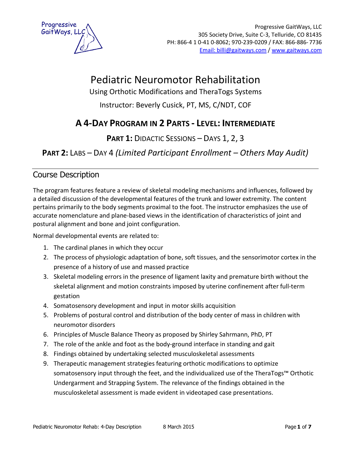

# Pediatric Neuromotor Rehabilitation

Using Orthotic Modifications and TheraTogs Systems

Instructor: Beverly Cusick, PT, MS, C/NDT, COF

### **A 4-DAY PROGRAM IN 2 PARTS - LEVEL: INTERMEDIATE**

**PART 1:** DIDACTIC SESSIONS – DAYS 1, 2, 3

**PART 2:** LABS – DAY 4 *(Limited Participant Enrollment – Others May Audit)*

### Course Description

The program features feature a review of skeletal modeling mechanisms and influences, followed by a detailed discussion of the developmental features of the trunk and lower extremity. The content pertains primarily to the body segments proximal to the foot. The instructor emphasizes the use of accurate nomenclature and plane-based views in the identification of characteristics of joint and postural alignment and bone and joint configuration.

Normal developmental events are related to:

- 1. The cardinal planes in which they occur
- 2. The process of physiologic adaptation of bone, soft tissues, and the sensorimotor cortex in the presence of a history of use and massed practice
- 3. Skeletal modeling errors in the presence of ligament laxity and premature birth without the skeletal alignment and motion constraints imposed by uterine confinement after full-term gestation
- 4. Somatosensory development and input in motor skills acquisition
- 5. Problems of postural control and distribution of the body center of mass in children with neuromotor disorders
- 6. Principles of Muscle Balance Theory as proposed by Shirley Sahrmann, PhD, PT
- 7. The role of the ankle and foot as the body-ground interface in standing and gait
- 8. Findings obtained by undertaking selected musculoskeletal assessments
- 9. Therapeutic management strategies featuring orthotic modifications to optimize somatosensory input through the feet, and the individualized use of the TheraTogs™ Orthotic Undergarment and Strapping System. The relevance of the findings obtained in the musculoskeletal assessment is made evident in videotaped case presentations.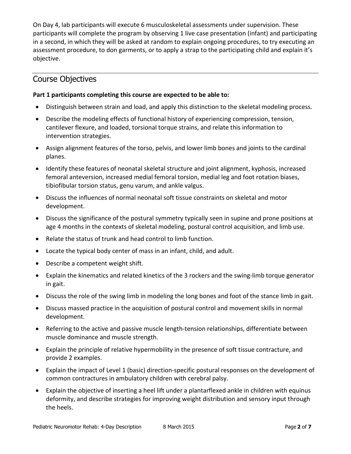On Day 4, lab participants will execute 6 musculoskeletal assessments under supervision. These participants will complete the program by observing 1 live case presentation (infant) and participating in a second, in which they will be asked at random to explain ongoing procedures, to try executing an assessment procedure, to don garments, or to apply a strap to the participating child and explain it's objective.

### Course Objectives

#### **Part 1 participants completing this course are expected to be able to:**

- Distinguish between strain and load, and apply this distinction to the skeletal modeling process.
- · Describe the modeling effects of functional history of experiencing compression, tension, cantilever flexure, and loaded, torsional torque strains, and relate this information to intervention strategies.
- · Assign alignment features of the torso, pelvis, and lower limb bones and joints to the cardinal planes.
- · Identify these features of neonatal skeletal structure and joint alignment, kyphosis, increased femoral anteversion, increased medial femoral torsion, medial leg and foot rotation biases, tibiofibular torsion status, genu varum, and ankle valgus.
- · Discuss the influences of normal neonatal soft tissue constraints on skeletal and motor development.
- · Discuss the significance of the postural symmetry typically seen in supine and prone positions at age 4 months in the contexts of skeletal modeling, postural control acquisition, and limb use.
- · Relate the status of trunk and head control to limb function.
- · Locate the typical body center of mass in an infant, child, and adult.
- · Describe a competent weight shift.
- · Explain the kinematics and related kinetics of the 3 rockers and the swing-limb torque generator in gait.
- · Discuss the role of the swing limb in modeling the long bones and foot of the stance limb in gait.
- · Discuss massed practice in the acquisition of postural control and movement skills in normal development.
- · Referring to the active and passive muscle length-tension relationships, differentiate between muscle dominance and muscle strength.
- · Explain the principle of relative hypermobility in the presence of soft tissue contracture, and provide 2 examples.
- · Explain the impact of Level 1 (basic) direction-specific postural responses on the development of common contractures in ambulatory children with cerebral palsy.
- · Explain the objective of inserting a heel lift under a plantarflexed ankle in children with equinus deformity, and describe strategies for improving weight distribution and sensory input through the heels.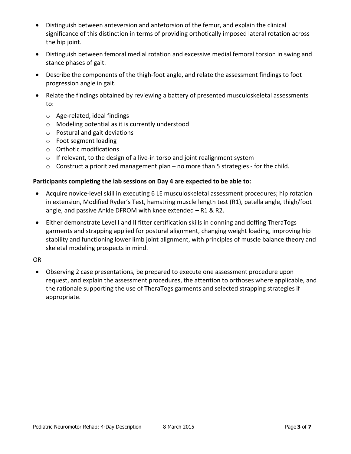- Distinguish between anteversion and antetorsion of the femur, and explain the clinical significance of this distinction in terms of providing orthotically imposed lateral rotation across the hip joint.
- · Distinguish between femoral medial rotation and excessive medial femoral torsion in swing and stance phases of gait.
- · Describe the components of the thigh-foot angle, and relate the assessment findings to foot progression angle in gait.
- · Relate the findings obtained by reviewing a battery of presented musculoskeletal assessments to:
	- o Age-related, ideal findings
	- o Modeling potential as it is currently understood
	- o Postural and gait deviations
	- o Foot segment loading
	- o Orthotic modifications
	- o If relevant, to the design of a live-in torso and joint realignment system
	- $\circ$  Construct a prioritized management plan no more than 5 strategies for the child.

#### **Participants completing the lab sessions on Day 4 are expected to be able to:**

- · Acquire novice-level skill in executing 6 LE musculoskeletal assessment procedures; hip rotation in extension, Modified Ryder's Test, hamstring muscle length test (R1), patella angle, thigh/foot angle, and passive Ankle DFROM with knee extended – R1 & R2.
- · Either demonstrate Level I and II fitter certification skills in donning and doffing TheraTogs garments and strapping applied for postural alignment, changing weight loading, improving hip stability and functioning lower limb joint alignment, with principles of muscle balance theory and skeletal modeling prospects in mind.

OR

· Observing 2 case presentations, be prepared to execute one assessment procedure upon request, and explain the assessment procedures, the attention to orthoses where applicable, and the rationale supporting the use of TheraTogs garments and selected strapping strategies if appropriate.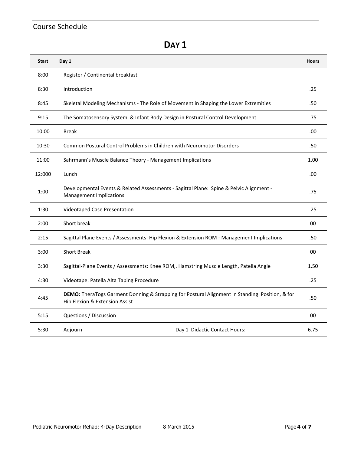### Course Schedule

**DAY 1** 

| <b>Start</b> | Day 1                                                                                                                            | <b>Hours</b> |
|--------------|----------------------------------------------------------------------------------------------------------------------------------|--------------|
| 8:00         | Register / Continental breakfast                                                                                                 |              |
| 8:30         | Introduction                                                                                                                     | .25          |
| 8:45         | Skeletal Modeling Mechanisms - The Role of Movement in Shaping the Lower Extremities                                             | .50          |
| 9:15         | The Somatosensory System & Infant Body Design in Postural Control Development                                                    | .75          |
| 10:00        | <b>Break</b>                                                                                                                     | .00          |
| 10:30        | Common Postural Control Problems in Children with Neuromotor Disorders                                                           | .50          |
| 11:00        | Sahrmann's Muscle Balance Theory - Management Implications                                                                       | 1.00         |
| 12:000       | Lunch                                                                                                                            | .00          |
| 1:00         | Developmental Events & Related Assessments - Sagittal Plane: Spine & Pelvic Alignment -<br><b>Management Implications</b>        | .75          |
| 1:30         | <b>Videotaped Case Presentation</b>                                                                                              | .25          |
| 2:00         | Short break                                                                                                                      | 00           |
| 2:15         | Sagittal Plane Events / Assessments: Hip Flexion & Extension ROM - Management Implications                                       | .50          |
| 3:00         | <b>Short Break</b>                                                                                                               | $00\,$       |
| 3:30         | Sagittal-Plane Events / Assessments: Knee ROM,. Hamstring Muscle Length, Patella Angle                                           | 1.50         |
| 4:30         | Videotape: Patella Alta Taping Procedure                                                                                         | .25          |
| 4:45         | DEMO: TheraTogs Garment Donning & Strapping for Postural Alignment in Standing Position, & for<br>Hip Flexion & Extension Assist | .50          |
| 5:15         | Questions / Discussion                                                                                                           | 00           |
| 5:30         | Adjourn<br>Day 1 Didactic Contact Hours:                                                                                         | 6.75         |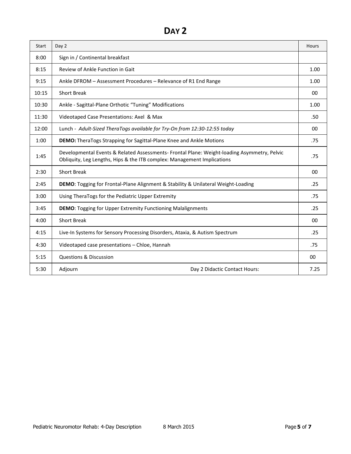## **DAY 2**

| Start | Day 2                                                                                                                                                                  | Hours |
|-------|------------------------------------------------------------------------------------------------------------------------------------------------------------------------|-------|
| 8:00  | Sign in / Continental breakfast                                                                                                                                        |       |
| 8:15  | Review of Ankle Function in Gait                                                                                                                                       | 1.00  |
| 9:15  | Ankle DFROM - Assessment Procedures - Relevance of R1 End Range                                                                                                        | 1.00  |
| 10:15 | <b>Short Break</b>                                                                                                                                                     | 00    |
| 10:30 | Ankle - Sagittal-Plane Orthotic "Tuning" Modifications                                                                                                                 | 1.00  |
| 11:30 | Videotaped Case Presentations: Axel & Max                                                                                                                              | .50   |
| 12:00 | Lunch - Adult-Sized TheraTogs available for Try-On from 12:30-12:55 today                                                                                              | 00    |
| 1:00  | <b>DEMO:</b> TheraTogs Strapping for Sagittal-Plane Knee and Ankle Motions                                                                                             | .75   |
| 1:45  | Developmental Events & Related Assessments- Frontal Plane: Weight-loading Asymmetry, Pelvic<br>Obliquity, Leg Lengths, Hips & the ITB complex: Management Implications | .75   |
| 2:30  | <b>Short Break</b>                                                                                                                                                     | 00    |
| 2:45  | DEMO: Togging for Frontal-Plane Alignment & Stability & Unilateral Weight-Loading                                                                                      | .25   |
| 3:00  | Using TheraTogs for the Pediatric Upper Extremity                                                                                                                      | .75   |
| 3:45  | <b>DEMO:</b> Togging for Upper Extremity Functioning Malalignments                                                                                                     | .25   |
| 4:00  | <b>Short Break</b>                                                                                                                                                     | 00    |
| 4:15  | Live-In Systems for Sensory Processing Disorders, Ataxia, & Autism Spectrum                                                                                            | .25   |
| 4:30  | Videotaped case presentations - Chloe, Hannah                                                                                                                          | .75   |
| 5:15  | <b>Questions &amp; Discussion</b>                                                                                                                                      | 00    |
| 5:30  | Adjourn<br>Day 2 Didactic Contact Hours:                                                                                                                               | 7.25  |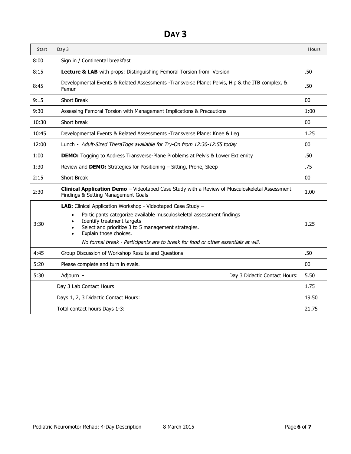## **DAY 3**

| Start | Day 3                                                                                                                                                                                                                                                                                                                                     | Hours |
|-------|-------------------------------------------------------------------------------------------------------------------------------------------------------------------------------------------------------------------------------------------------------------------------------------------------------------------------------------------|-------|
| 8:00  | Sign in / Continental breakfast                                                                                                                                                                                                                                                                                                           |       |
| 8:15  | Lecture & LAB with props: Distinguishing Femoral Torsion from Version                                                                                                                                                                                                                                                                     | .50   |
| 8:45  | Developmental Events & Related Assessments -Transverse Plane: Pelvis, Hip & the ITB complex, &<br>Femur                                                                                                                                                                                                                                   | .50   |
| 9:15  | Short Break                                                                                                                                                                                                                                                                                                                               | 00    |
| 9:30  | Assessing Femoral Torsion with Management Implications & Precautions                                                                                                                                                                                                                                                                      | 1:00  |
| 10:30 | Short break                                                                                                                                                                                                                                                                                                                               | 00    |
| 10:45 | Developmental Events & Related Assessments - Transverse Plane: Knee & Leg                                                                                                                                                                                                                                                                 | 1.25  |
| 12:00 | Lunch - Adult-Sized TheraTogs available for Try-On from 12:30-12:55 today                                                                                                                                                                                                                                                                 | 00    |
| 1:00  | <b>DEMO:</b> Togging to Address Transverse-Plane Problems at Pelvis & Lower Extremity                                                                                                                                                                                                                                                     | .50   |
| 1:30  | Review and DEMO: Strategies for Positioning - Sitting, Prone, Sleep                                                                                                                                                                                                                                                                       | .75   |
| 2:15  | <b>Short Break</b>                                                                                                                                                                                                                                                                                                                        | 00    |
| 2:30  | Clinical Application Demo - Videotaped Case Study with a Review of Musculoskeletal Assessment<br>Findings & Setting Management Goals                                                                                                                                                                                                      | 1.00  |
| 3:30  | LAB: Clinical Application Workshop - Videotaped Case Study -<br>Participants categorize available musculoskeletal assessment findings<br>Identify treatment targets<br>Select and prioritize 3 to 5 management strategies.<br>Explain those choices.<br>No formal break - Participants are to break for food or other essentials at will. | 1.25  |
| 4:45  | Group Discussion of Workshop Results and Questions                                                                                                                                                                                                                                                                                        | .50   |
| 5:20  | Please complete and turn in evals.                                                                                                                                                                                                                                                                                                        | 00    |
| 5:30  | Adjourn -<br>Day 3 Didactic Contact Hours:                                                                                                                                                                                                                                                                                                | 5.50  |
|       | Day 3 Lab Contact Hours                                                                                                                                                                                                                                                                                                                   | 1.75  |
|       | Days 1, 2, 3 Didactic Contact Hours:                                                                                                                                                                                                                                                                                                      | 19.50 |
|       | Total contact hours Days 1-3:                                                                                                                                                                                                                                                                                                             | 21.75 |